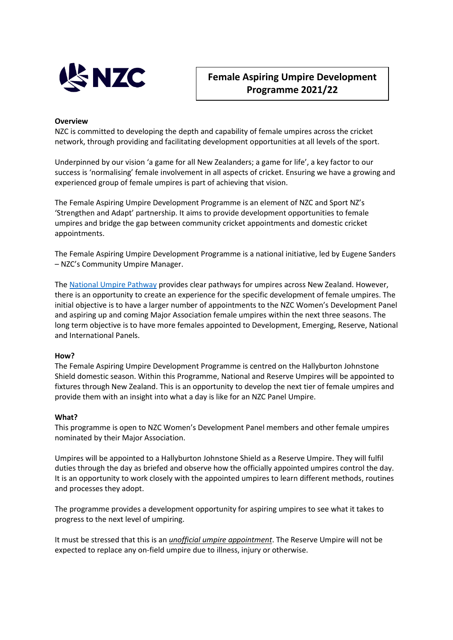

# **Female Aspiring Umpire Development Programme 2021/22**

### **Overview**

NZC is committed to developing the depth and capability of female umpires across the cricket network, through providing and facilitating development opportunities at all levels of the sport.

Underpinned by our vision 'a game for all New Zealanders; a game for life', a key factor to our success is 'normalising' female involvement in all aspects of cricket. Ensuring we have a growing and experienced group of female umpires is part of achieving that vision.

The Female Aspiring Umpire Development Programme is an element of NZC and Sport NZ's 'Strengthen and Adapt' partnership. It aims to provide development opportunities to female umpires and bridge the gap between community cricket appointments and domestic cricket appointments.

The Female Aspiring Umpire Development Programme is a national initiative, led by Eugene Sanders – NZC's Community Umpire Manager.

The [National Umpire Pathway](https://www.nzc.nz/media/18601/umpire-pathway-table_2.pdf) provides clear pathways for umpires across New Zealand. However, there is an opportunity to create an experience for the specific development of female umpires. The initial objective is to have a larger number of appointments to the NZC Women's Development Panel and aspiring up and coming Major Association female umpires within the next three seasons. The long term objective is to have more females appointed to Development, Emerging, Reserve, National and International Panels.

#### **How?**

The Female Aspiring Umpire Development Programme is centred on the Hallyburton Johnstone Shield domestic season. Within this Programme, National and Reserve Umpires will be appointed to fixtures through New Zealand. This is an opportunity to develop the next tier of female umpires and provide them with an insight into what a day is like for an NZC Panel Umpire.

#### **What?**

This programme is open to NZC Women's Development Panel members and other female umpires nominated by their Major Association.

Umpires will be appointed to a Hallyburton Johnstone Shield as a Reserve Umpire. They will fulfil duties through the day as briefed and observe how the officially appointed umpires control the day. It is an opportunity to work closely with the appointed umpires to learn different methods, routines and processes they adopt.

The programme provides a development opportunity for aspiring umpires to see what it takes to progress to the next level of umpiring.

It must be stressed that this is an *unofficial umpire appointment*. The Reserve Umpire will not be expected to replace any on-field umpire due to illness, injury or otherwise.